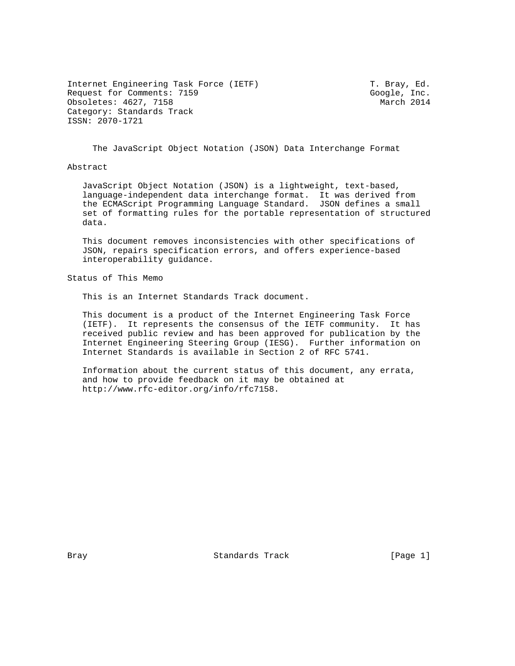Internet Engineering Task Force (IETF) T. Bray, Ed. Request for Comments: 7159<br>
Obsoletes: 4627, 7158<br>
Obsoletes: 4627, 7158 Obsoletes: 4627, 7158 Category: Standards Track ISSN: 2070-1721

The JavaScript Object Notation (JSON) Data Interchange Format

Abstract

 JavaScript Object Notation (JSON) is a lightweight, text-based, language-independent data interchange format. It was derived from the ECMAScript Programming Language Standard. JSON defines a small set of formatting rules for the portable representation of structured data.

 This document removes inconsistencies with other specifications of JSON, repairs specification errors, and offers experience-based interoperability guidance.

Status of This Memo

This is an Internet Standards Track document.

 This document is a product of the Internet Engineering Task Force (IETF). It represents the consensus of the IETF community. It has received public review and has been approved for publication by the Internet Engineering Steering Group (IESG). Further information on Internet Standards is available in Section 2 of RFC 5741.

 Information about the current status of this document, any errata, and how to provide feedback on it may be obtained at http://www.rfc-editor.org/info/rfc7158.

Bray **Standards Track** [Page 1]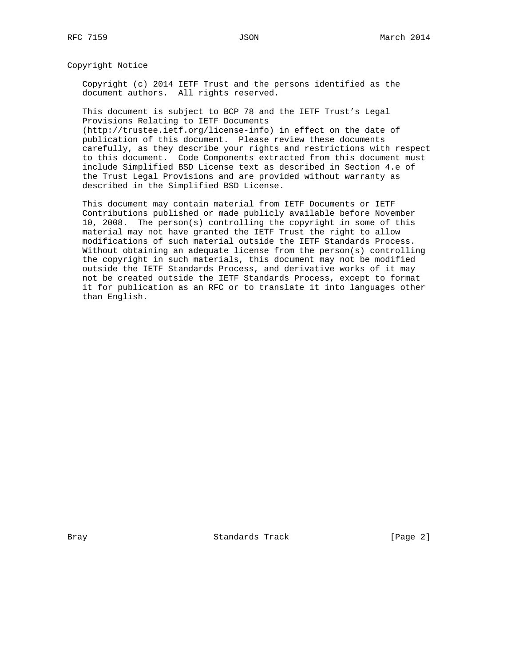Copyright Notice

 Copyright (c) 2014 IETF Trust and the persons identified as the document authors. All rights reserved.

 This document is subject to BCP 78 and the IETF Trust's Legal Provisions Relating to IETF Documents

 (http://trustee.ietf.org/license-info) in effect on the date of publication of this document. Please review these documents carefully, as they describe your rights and restrictions with respect to this document. Code Components extracted from this document must include Simplified BSD License text as described in Section 4.e of the Trust Legal Provisions and are provided without warranty as described in the Simplified BSD License.

 This document may contain material from IETF Documents or IETF Contributions published or made publicly available before November 10, 2008. The person(s) controlling the copyright in some of this material may not have granted the IETF Trust the right to allow modifications of such material outside the IETF Standards Process. Without obtaining an adequate license from the person(s) controlling the copyright in such materials, this document may not be modified outside the IETF Standards Process, and derivative works of it may not be created outside the IETF Standards Process, except to format it for publication as an RFC or to translate it into languages other than English.

Bray Standards Track [Page 2]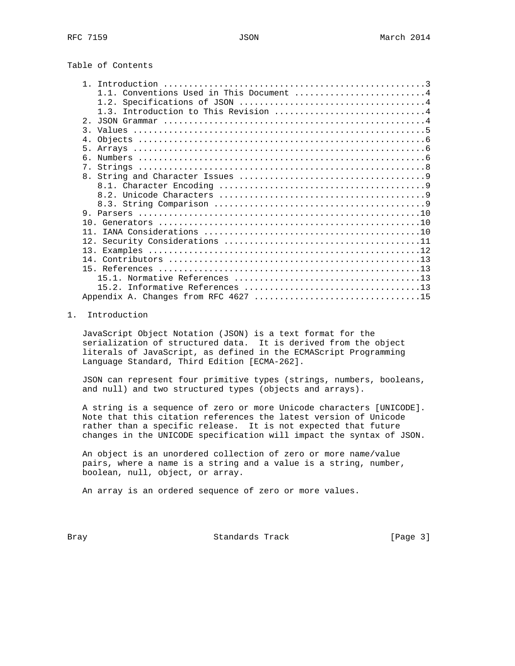# Table of Contents

| Conventions Used in This Document 4  |  |
|--------------------------------------|--|
|                                      |  |
| 1.3. Introduction to This Revision 4 |  |
| 2 <sub>1</sub>                       |  |
| $\mathcal{R}$                        |  |
| $4$ .                                |  |
| 5 <sub>1</sub>                       |  |
| $6^{\circ}$                          |  |
| $7$ .                                |  |
|                                      |  |
|                                      |  |
|                                      |  |
|                                      |  |
| 9                                    |  |
|                                      |  |
| 11                                   |  |
| 12.                                  |  |
|                                      |  |
|                                      |  |
|                                      |  |
|                                      |  |
|                                      |  |
| Appendix A. Changes from RFC 4627 15 |  |

## 1. Introduction

 JavaScript Object Notation (JSON) is a text format for the serialization of structured data. It is derived from the object literals of JavaScript, as defined in the ECMAScript Programming Language Standard, Third Edition [ECMA-262].

 JSON can represent four primitive types (strings, numbers, booleans, and null) and two structured types (objects and arrays).

 A string is a sequence of zero or more Unicode characters [UNICODE]. Note that this citation references the latest version of Unicode rather than a specific release. It is not expected that future changes in the UNICODE specification will impact the syntax of JSON.

 An object is an unordered collection of zero or more name/value pairs, where a name is a string and a value is a string, number, boolean, null, object, or array.

An array is an ordered sequence of zero or more values.

Bray **Standards Track** [Page 3]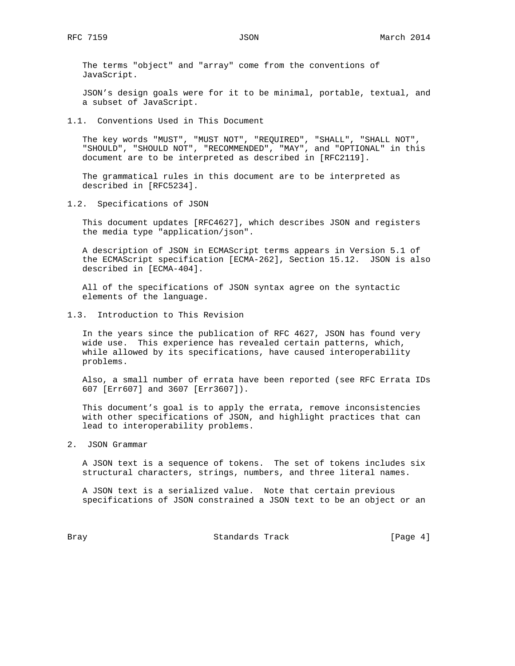The terms "object" and "array" come from the conventions of JavaScript.

 JSON's design goals were for it to be minimal, portable, textual, and a subset of JavaScript.

1.1. Conventions Used in This Document

 The key words "MUST", "MUST NOT", "REQUIRED", "SHALL", "SHALL NOT", "SHOULD", "SHOULD NOT", "RECOMMENDED", "MAY", and "OPTIONAL" in this document are to be interpreted as described in [RFC2119].

 The grammatical rules in this document are to be interpreted as described in [RFC5234].

1.2. Specifications of JSON

 This document updates [RFC4627], which describes JSON and registers the media type "application/json".

 A description of JSON in ECMAScript terms appears in Version 5.1 of the ECMAScript specification [ECMA-262], Section 15.12. JSON is also described in [ECMA-404].

 All of the specifications of JSON syntax agree on the syntactic elements of the language.

1.3. Introduction to This Revision

 In the years since the publication of RFC 4627, JSON has found very wide use. This experience has revealed certain patterns, which, while allowed by its specifications, have caused interoperability problems.

 Also, a small number of errata have been reported (see RFC Errata IDs 607 [Err607] and 3607 [Err3607]).

 This document's goal is to apply the errata, remove inconsistencies with other specifications of JSON, and highlight practices that can lead to interoperability problems.

2. JSON Grammar

 A JSON text is a sequence of tokens. The set of tokens includes six structural characters, strings, numbers, and three literal names.

 A JSON text is a serialized value. Note that certain previous specifications of JSON constrained a JSON text to be an object or an

Bray **Bray** Standards Track [Page 4]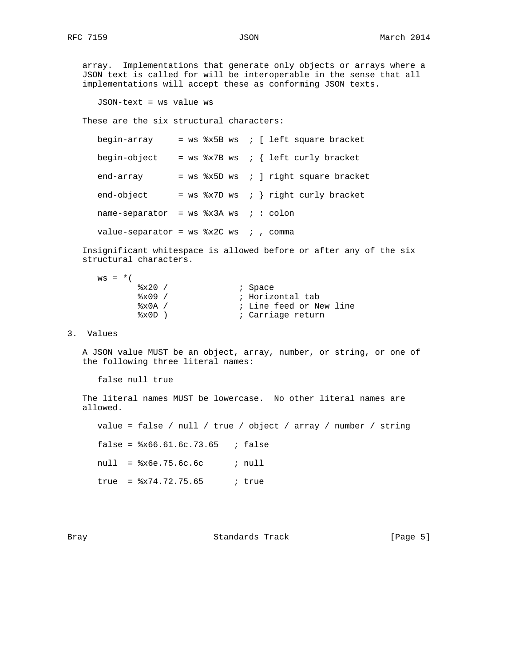array. Implementations that generate only objects or arrays where a JSON text is called for will be interoperable in the sense that all implementations will accept these as conforming JSON texts.

JSON-text = ws value ws

These are the six structural characters:

| begin-array                                 |  | $=$ ws $x5B$ ws ; [ left square bracket  |  |
|---------------------------------------------|--|------------------------------------------|--|
| begin-object                                |  | = $ws$ %x7B $ws$ ; { left curly bracket  |  |
| end-array                                   |  | $=$ ws $x5D$ ws ; ] right square bracket |  |
| end-object                                  |  | = $ws$ %x7D $ws$ ; } right curly bracket |  |
| name-separator = $ws$ $*x3A$ $ws$ ; : colon |  |                                          |  |
| value-separator = $ws$ $*x2C$ ws ; , comma  |  |                                          |  |

 Insignificant whitespace is allowed before or after any of the six structural characters.

| $WS = *$ (                |                         |
|---------------------------|-------------------------|
| 8x20/                     | ; Space                 |
| $8x09$ /                  | ; Horizontal tab        |
| $\frac{1}{2} \times 0A$ / | ; Line feed or New line |
| %x0D                      | ; Carriage return       |

## 3. Values

 A JSON value MUST be an object, array, number, or string, or one of the following three literal names:

false null true

 The literal names MUST be lowercase. No other literal names are allowed.

 value = false / null / true / object / array / number / string false =  $x66.61.6c.73.65$  ; false null = %x6e.75.6c.6c ; null true = %x74.72.75.65 ; true

Bray **Standards Track** [Page 5]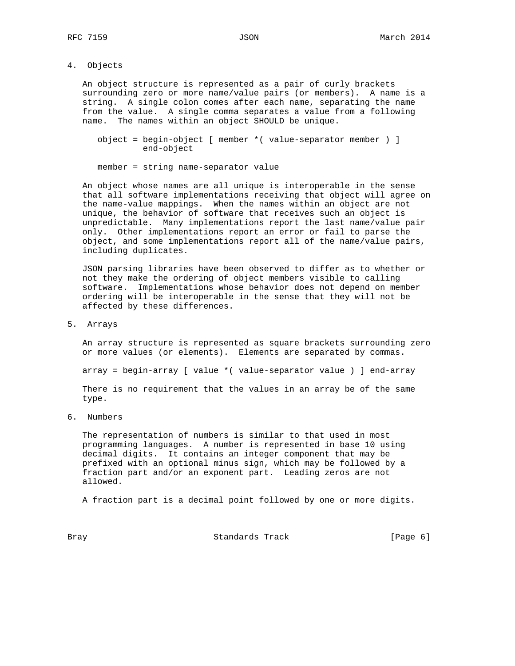4. Objects

 An object structure is represented as a pair of curly brackets surrounding zero or more name/value pairs (or members). A name is a string. A single colon comes after each name, separating the name from the value. A single comma separates a value from a following name. The names within an object SHOULD be unique.

```
 object = begin-object [ member *( value-separator member ) ]
          end-object
```
member = string name-separator value

 An object whose names are all unique is interoperable in the sense that all software implementations receiving that object will agree on the name-value mappings. When the names within an object are not unique, the behavior of software that receives such an object is unpredictable. Many implementations report the last name/value pair only. Other implementations report an error or fail to parse the object, and some implementations report all of the name/value pairs, including duplicates.

 JSON parsing libraries have been observed to differ as to whether or not they make the ordering of object members visible to calling software. Implementations whose behavior does not depend on member ordering will be interoperable in the sense that they will not be affected by these differences.

5. Arrays

 An array structure is represented as square brackets surrounding zero or more values (or elements). Elements are separated by commas.

array = begin-array [ value \*( value-separator value ) ] end-array

 There is no requirement that the values in an array be of the same type.

6. Numbers

 The representation of numbers is similar to that used in most programming languages. A number is represented in base 10 using decimal digits. It contains an integer component that may be prefixed with an optional minus sign, which may be followed by a fraction part and/or an exponent part. Leading zeros are not allowed.

A fraction part is a decimal point followed by one or more digits.

Bray **Bray** Standards Track [Page 6]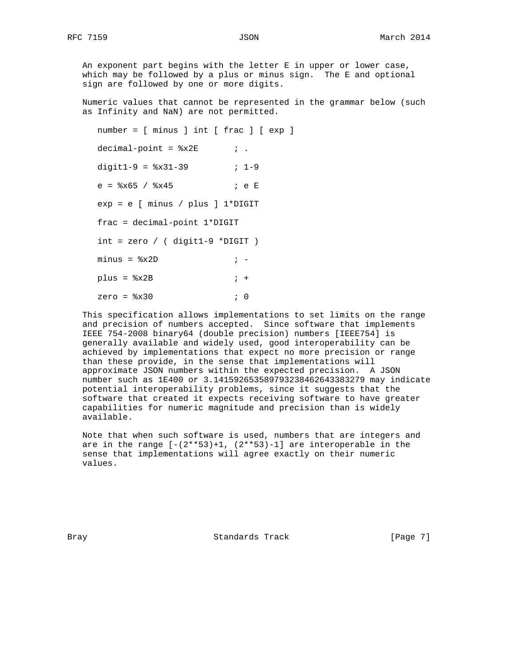An exponent part begins with the letter E in upper or lower case, which may be followed by a plus or minus sign. The E and optional sign are followed by one or more digits.

 Numeric values that cannot be represented in the grammar below (such as Infinity and NaN) are not permitted.

 number = [ minus ] int [ frac ] [ exp ]  $decimal-point =  $*x2E$  ;$ digit1-9 =  $8x31-39$  ; 1-9 e = %x65 / %x45 ; e E exp = e [ minus / plus ] 1\*DIGIT frac = decimal-point 1\*DIGIT int = zero / ( digit1-9 \*DIGIT )  $minus =$   $*x2D$  ;  $plus = *8x2B*$  ; + zero = %x30 ; 0

 This specification allows implementations to set limits on the range and precision of numbers accepted. Since software that implements IEEE 754-2008 binary64 (double precision) numbers [IEEE754] is generally available and widely used, good interoperability can be achieved by implementations that expect no more precision or range than these provide, in the sense that implementations will approximate JSON numbers within the expected precision. A JSON number such as 1E400 or 3.141592653589793238462643383279 may indicate potential interoperability problems, since it suggests that the software that created it expects receiving software to have greater capabilities for numeric magnitude and precision than is widely available.

 Note that when such software is used, numbers that are integers and are in the range  $[-(2**53)+1, (2**53)-1]$  are interoperable in the sense that implementations will agree exactly on their numeric values.

Bray **Standards Track** [Page 7]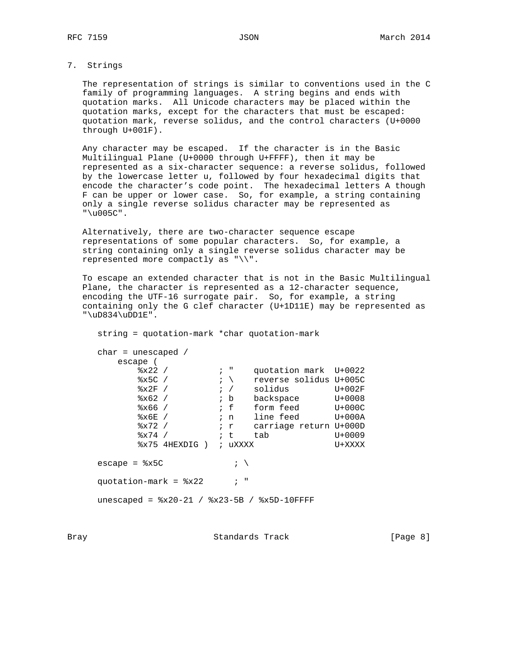## 7. Strings

 The representation of strings is similar to conventions used in the C family of programming languages. A string begins and ends with quotation marks. All Unicode characters may be placed within the quotation marks, except for the characters that must be escaped: quotation mark, reverse solidus, and the control characters (U+0000 through U+001F).

 Any character may be escaped. If the character is in the Basic Multilingual Plane (U+0000 through U+FFFF), then it may be represented as a six-character sequence: a reverse solidus, followed by the lowercase letter u, followed by four hexadecimal digits that encode the character's code point. The hexadecimal letters A though F can be upper or lower case. So, for example, a string containing only a single reverse solidus character may be represented as "\u005C".

 Alternatively, there are two-character sequence escape representations of some popular characters. So, for example, a string containing only a single reverse solidus character may be represented more compactly as "\\".

 To escape an extended character that is not in the Basic Multilingual Plane, the character is represented as a 12-character sequence, encoding the UTF-16 surrogate pair. So, for example, a string containing only the G clef character (U+1D11E) may be represented as "\uD834\uDD1E".

 string = quotation-mark \*char quotation-mark char = unescaped / escape ( %x22 /  $\cdot$  , " quotation mark U+0022 %x5C /  $\cdot$  ; \ reverse solidus U+005C  $-x^2 \times 2F$  /  $\frac{y^2}{2}$   $\frac{z^2}{2}$   $\frac{z^2}{2}$   $\frac{z^2}{2}$   $\frac{z^2}{2}$   $\frac{z^2}{2}$   $\frac{z^2}{2}$   $\frac{z^2}{2}$   $\frac{z^2}{2}$   $\frac{z^2}{2}$   $\frac{z^2}{2}$   $\frac{z^2}{2}$   $\frac{z^2}{2}$   $\frac{z^2}{2}$   $\frac{z^2}{2}$   $\frac{z^2}{2}$   $\frac{z^2}{2}$   $\frac{$ %x62 /  $\cdot$  b backspace U+0008 %x66 / ; f form feed U+000C %x6E / ; n line feed U+000A %x72 /  $\cdot$   $\cdot$  r carriage return U+000D  $\frac{1}{2}$   $\frac{1}{2}$   $\frac{1}{2}$   $\frac{1}{2}$   $\frac{1}{2}$   $\frac{1}{2}$   $\frac{1}{2}$   $\frac{1}{2}$   $\frac{1}{2}$   $\frac{1}{2}$   $\frac{1}{2}$   $\frac{1}{2}$   $\frac{1}{2}$   $\frac{1}{2}$   $\frac{1}{2}$   $\frac{1}{2}$   $\frac{1}{2}$   $\frac{1}{2}$   $\frac{1}{2}$   $\frac{1}{2}$   $\frac{1}{2}$   $\frac{1}{2}$  %x75 4HEXDIG ) ; uXXXX U+XXXX escape =  $x5C$  ;  $\qquad$ quotation-mark =  $8x22$  ; " unescaped = %x20-21 / %x23-5B / %x5D-10FFFF

Bray **Bray** Standards Track **Example 2** [Page 8]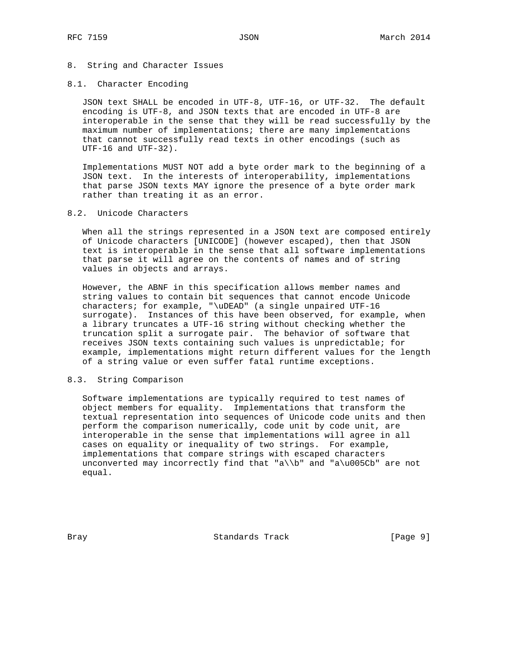## 8. String and Character Issues

#### 8.1. Character Encoding

 JSON text SHALL be encoded in UTF-8, UTF-16, or UTF-32. The default encoding is UTF-8, and JSON texts that are encoded in UTF-8 are interoperable in the sense that they will be read successfully by the maximum number of implementations; there are many implementations that cannot successfully read texts in other encodings (such as UTF-16 and UTF-32).

 Implementations MUST NOT add a byte order mark to the beginning of a JSON text. In the interests of interoperability, implementations that parse JSON texts MAY ignore the presence of a byte order mark rather than treating it as an error.

## 8.2. Unicode Characters

 When all the strings represented in a JSON text are composed entirely of Unicode characters [UNICODE] (however escaped), then that JSON text is interoperable in the sense that all software implementations that parse it will agree on the contents of names and of string values in objects and arrays.

 However, the ABNF in this specification allows member names and string values to contain bit sequences that cannot encode Unicode characters; for example, "\uDEAD" (a single unpaired UTF-16 surrogate). Instances of this have been observed, for example, when a library truncates a UTF-16 string without checking whether the truncation split a surrogate pair. The behavior of software that receives JSON texts containing such values is unpredictable; for example, implementations might return different values for the length of a string value or even suffer fatal runtime exceptions.

## 8.3. String Comparison

 Software implementations are typically required to test names of object members for equality. Implementations that transform the textual representation into sequences of Unicode code units and then perform the comparison numerically, code unit by code unit, are interoperable in the sense that implementations will agree in all cases on equality or inequality of two strings. For example, implementations that compare strings with escaped characters unconverted may incorrectly find that "a\\b" and "a\u005Cb" are not equal.

Bray Standards Track [Page 9]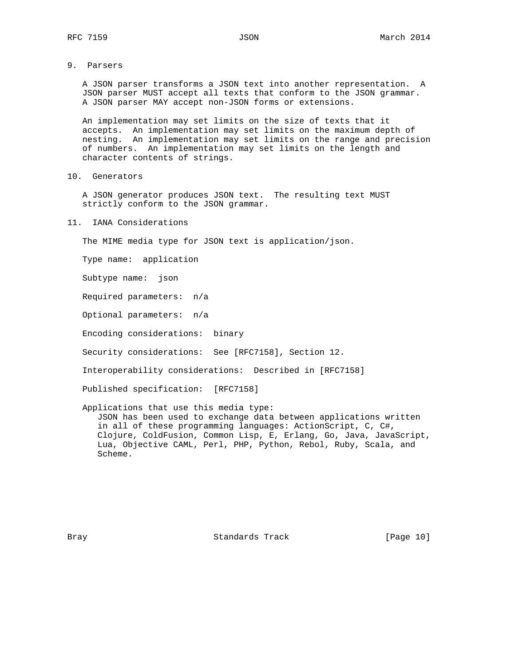9. Parsers

 A JSON parser transforms a JSON text into another representation. A JSON parser MUST accept all texts that conform to the JSON grammar. A JSON parser MAY accept non-JSON forms or extensions.

 An implementation may set limits on the size of texts that it accepts. An implementation may set limits on the maximum depth of nesting. An implementation may set limits on the range and precision of numbers. An implementation may set limits on the length and character contents of strings.

10. Generators

 A JSON generator produces JSON text. The resulting text MUST strictly conform to the JSON grammar.

11. IANA Considerations

The MIME media type for JSON text is application/json.

Type name: application

Subtype name: json

Required parameters: n/a

Optional parameters: n/a

Encoding considerations: binary

Security considerations: See [RFC7158], Section 12.

Interoperability considerations: Described in [RFC7158]

Published specification: [RFC7158]

 Applications that use this media type: JSON has been used to exchange data between applications written in all of these programming languages: ActionScript, C, C#, Clojure, ColdFusion, Common Lisp, E, Erlang, Go, Java, JavaScript, Lua, Objective CAML, Perl, PHP, Python, Rebol, Ruby, Scala, and Scheme.

Bray **Standards Track** [Page 10]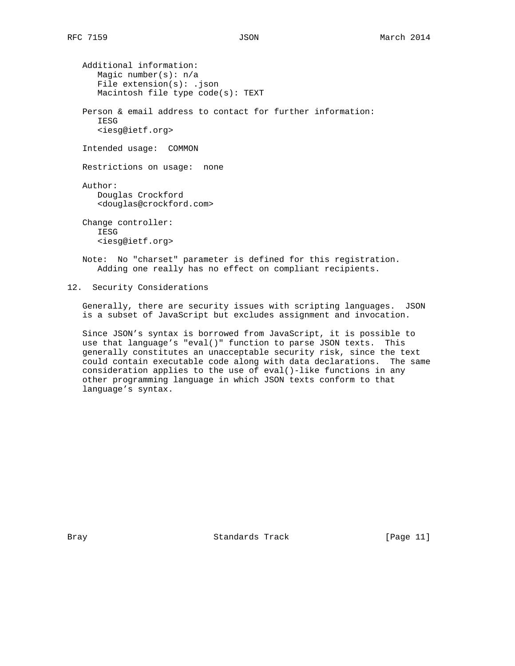Additional information: Magic number(s): n/a File extension(s): .json Macintosh file type code(s): TEXT Person & email address to contact for further information: **TESG**  <iesg@ietf.org> Intended usage: COMMON Restrictions on usage: none Author: Douglas Crockford <douglas@crockford.com> Change controller: IESG <iesg@ietf.org> Note: No "charset" parameter is defined for this registration.

Adding one really has no effect on compliant recipients.

12. Security Considerations

 Generally, there are security issues with scripting languages. JSON is a subset of JavaScript but excludes assignment and invocation.

 Since JSON's syntax is borrowed from JavaScript, it is possible to use that language's "eval()" function to parse JSON texts. This generally constitutes an unacceptable security risk, since the text could contain executable code along with data declarations. The same consideration applies to the use of eval()-like functions in any other programming language in which JSON texts conform to that language's syntax.

Bray **Standards Track** [Page 11]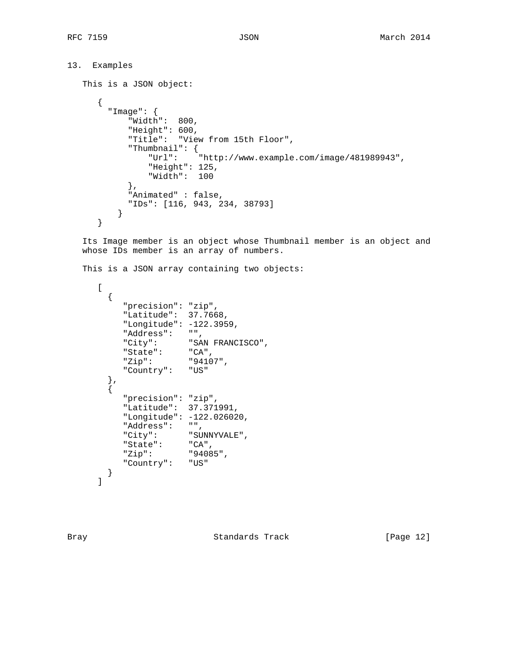```
13. Examples
    This is a JSON object:
       {
         "Image": {
             "Width": 800,
             "Height": 600,
              "Title": "View from 15th Floor",
              "Thumbnail": {
                  "Url": "http://www.example.com/image/481989943",
                  "Height": 125,
                  "Width": 100
             },
             "Animated" : false,
             "IDs": [116, 943, 234, 38793]
           }
       }
```
 Its Image member is an object whose Thumbnail member is an object and whose IDs member is an array of numbers.

This is a JSON array containing two objects:

```
\lbrack {
         "precision": "zip",
         "Latitude": 37.7668,
         "Longitude": -122.3959,
 "Address": "",
 "City": "SAN FRANCISCO",
 "State": "CA",
 "Zip": "94107",
         "Country": "US"
 },
\{ "precision": "zip",
         "Latitude": 37.371991,
 "Longitude": -122.026020,
 "Address": "",
 "City": "SUNNYVALE",
 "State": "CA",
 "Zip": "94085",
         "Country": "US"
      }
     ]
```
Bray **Standards Track** [Page 12]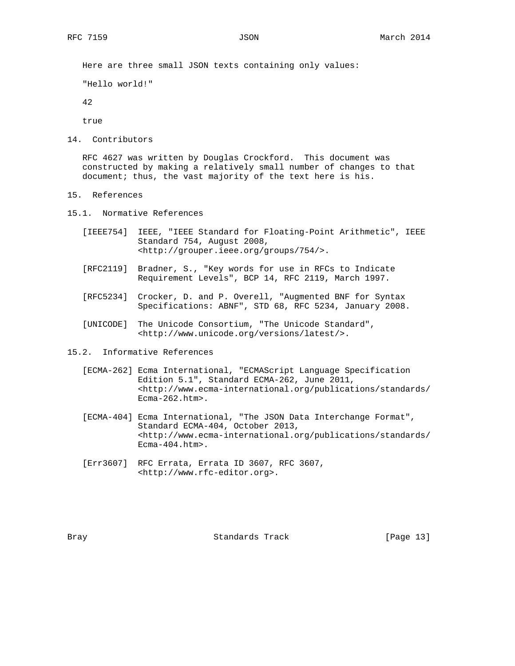Here are three small JSON texts containing only values:

"Hello world!"

42

true

14. Contributors

 RFC 4627 was written by Douglas Crockford. This document was constructed by making a relatively small number of changes to that document; thus, the vast majority of the text here is his.

- 15. References
- 15.1. Normative References
	- [IEEE754] IEEE, "IEEE Standard for Floating-Point Arithmetic", IEEE Standard 754, August 2008, <http://grouper.ieee.org/groups/754/>.
	- [RFC2119] Bradner, S., "Key words for use in RFCs to Indicate Requirement Levels", BCP 14, RFC 2119, March 1997.
	- [RFC5234] Crocker, D. and P. Overell, "Augmented BNF for Syntax Specifications: ABNF", STD 68, RFC 5234, January 2008.
	- [UNICODE] The Unicode Consortium, "The Unicode Standard", <http://www.unicode.org/versions/latest/>.
- 15.2. Informative References
	- [ECMA-262] Ecma International, "ECMAScript Language Specification Edition 5.1", Standard ECMA-262, June 2011, <http://www.ecma-international.org/publications/standards/ Ecma-262.htm>.
	- [ECMA-404] Ecma International, "The JSON Data Interchange Format", Standard ECMA-404, October 2013, <http://www.ecma-international.org/publications/standards/ Ecma-404.htm>.
	- [Err3607] RFC Errata, Errata ID 3607, RFC 3607, <http://www.rfc-editor.org>.

Bray **Standards Track** [Page 13]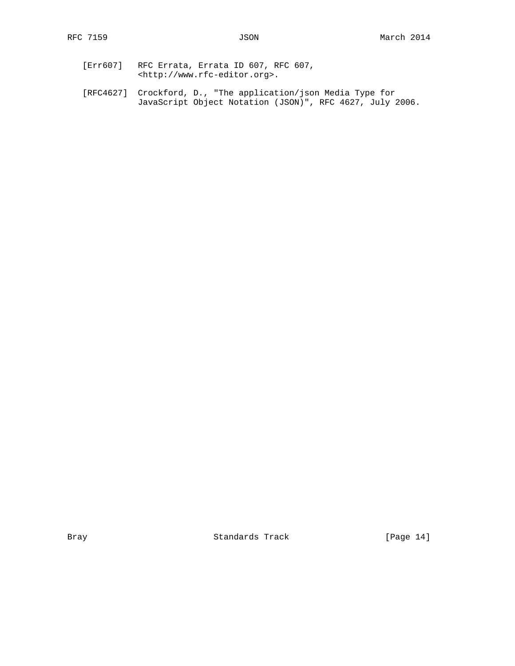- [Err607] RFC Errata, Errata ID 607, RFC 607, <http://www.rfc-editor.org>.
- [RFC4627] Crockford, D., "The application/json Media Type for JavaScript Object Notation (JSON)", RFC 4627, July 2006.

Bray Standards Track [Page 14]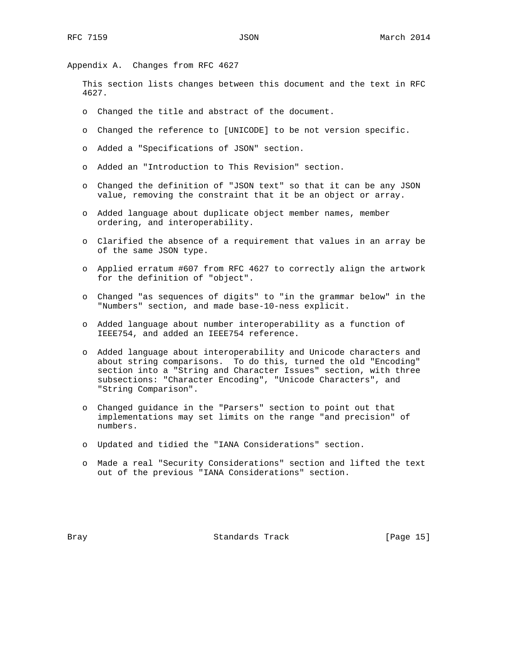Appendix A. Changes from RFC 4627

 This section lists changes between this document and the text in RFC 4627.

- o Changed the title and abstract of the document.
- o Changed the reference to [UNICODE] to be not version specific.
- o Added a "Specifications of JSON" section.
- o Added an "Introduction to This Revision" section.
- o Changed the definition of "JSON text" so that it can be any JSON value, removing the constraint that it be an object or array.
- o Added language about duplicate object member names, member ordering, and interoperability.
- o Clarified the absence of a requirement that values in an array be of the same JSON type.
- o Applied erratum #607 from RFC 4627 to correctly align the artwork for the definition of "object".
- o Changed "as sequences of digits" to "in the grammar below" in the "Numbers" section, and made base-10-ness explicit.
- o Added language about number interoperability as a function of IEEE754, and added an IEEE754 reference.
- o Added language about interoperability and Unicode characters and about string comparisons. To do this, turned the old "Encoding" section into a "String and Character Issues" section, with three subsections: "Character Encoding", "Unicode Characters", and "String Comparison".
- o Changed guidance in the "Parsers" section to point out that implementations may set limits on the range "and precision" of numbers.
- o Updated and tidied the "IANA Considerations" section.
- o Made a real "Security Considerations" section and lifted the text out of the previous "IANA Considerations" section.

Bray **Standards Track** [Page 15]